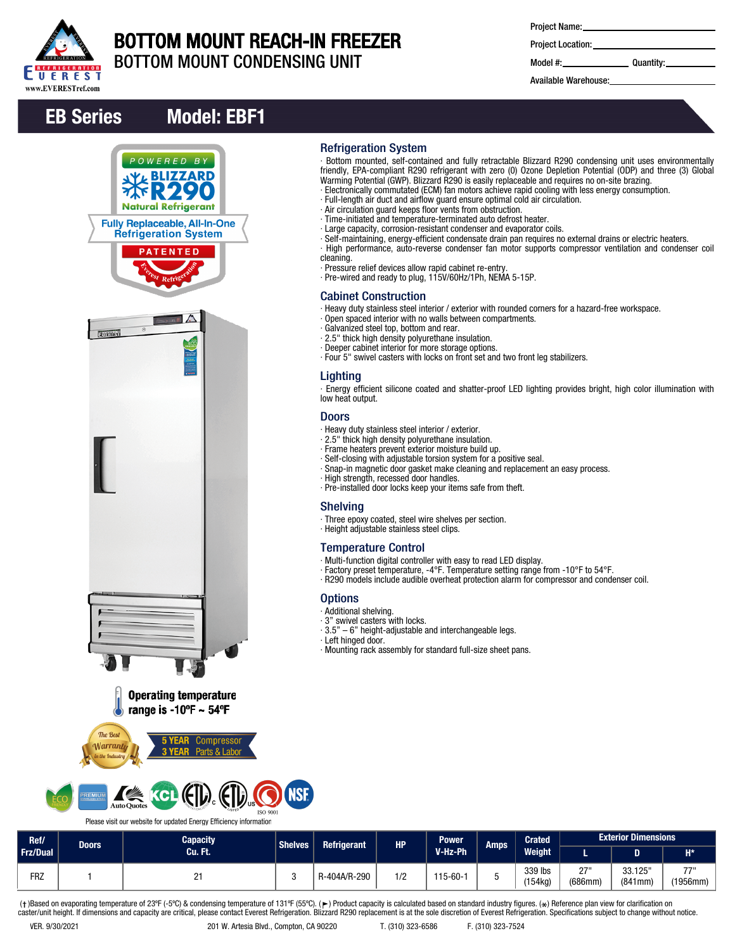

### BOTTOM MOUNT REACH-IN FREEZER BOTTOM MOUNT CONDENSING UNIT

Project Name:

Project Location:

Model #: Quantity:

Available Warehouse:

## EB Series Model: EBF1





- ∙ Time-initiated and temperature-terminated auto defrost heater.
- ∙ Large capacity, corrosion-resistant condenser and evaporator coils.
- ∙ Self-maintaining, energy-efficient condensate drain pan requires no external drains or electric heaters.

∙ Bottom mounted, self-contained and fully retractable Blizzard R290 condensing unit uses environmentally friendly, EPA-compliant R290 refrigerant with zero (0) Ozone Depletion Potential (ODP) and three (3) Global

- ∙ High performance, auto-reverse condenser fan motor supports compressor ventilation and condenser coil cleaning.
- ∙ Pressure relief devices allow rapid cabinet re-entry.
- ∙ Pre-wired and ready to plug, 115V/60Hz/1Ph, NEMA 5-15P.

#### Cabinet Construction

Refrigeration System

∙ Heavy duty stainless steel interior / exterior with rounded corners for a hazard-free workspace.

Warming Potential (GWP). Blizzard R290 is easily replaceable and requires no on-site brazing. ∙ Electronically commutated (ECM) fan motors achieve rapid cooling with less energy consumption.

- ∙ Open spaced interior with no walls between compartments.
- ∙ Galvanized steel top, bottom and rear.
- ∙ 2.5" thick high density polyurethane insulation.
- ∙ Deeper cabinet interior for more storage options.
- ∙ Four 5" swivel casters with locks on front set and two front leg stabilizers.

#### Lighting

∙ Energy efficient silicone coated and shatter-proof LED lighting provides bright, high color illumination with low heat output.

#### **Doors**

- ∙ Heavy duty stainless steel interior / exterior.
- ∙ 2.5" thick high density polyurethane insulation.
- ∙ Frame heaters prevent exterior moisture build up.
- ∙ Self-closing with adjustable torsion system for a positive seal.
- ∙ Snap-in magnetic door gasket make cleaning and replacement an easy process.
- ∙ High strength, recessed door handles.
- ∙ Pre-installed door locks keep your items safe from theft.

#### Shelving

- ∙ Three epoxy coated, steel wire shelves per section.
- ∙ Height adjustable stainless steel clips.

#### Temperature Control

- ∙ Multi-function digital controller with easy to read LED display.
- ∙ Factory preset temperature, -4°F. Temperature setting range from -10°F to 54°F.
- ∙ R290 models include audible overheat protection alarm for compressor and condenser coil.

#### **Options**

- ∙ Additional shelving.
- ∙ 3" swivel casters with locks.
- ∙ 3.5" 6" height-adjustable and interchangeable legs.
- ∙ Left hinged door.
- ∙ Mounting rack assembly for standard full-size sheet pans.



Please visit our website for updated Energy Efficiency information

| Ref/            | <b>Doors</b> | <b>Capacity</b> | <b>Shelves</b> | <b>Refrigerant</b> | <b>HP</b> | <b>Power</b> | Amps' | <b>Crated</b>      | <b>Exterior Dimensions</b> |                    |                  |
|-----------------|--------------|-----------------|----------------|--------------------|-----------|--------------|-------|--------------------|----------------------------|--------------------|------------------|
| <b>Frz/Dual</b> |              | Cu. Ft.         |                |                    |           | V-Hz-Ph      |       | <b>Weight</b>      |                            |                    | $H^*$            |
| <b>FRZ</b>      |              | $\sim$ 1        |                | R-404A/R-290       | 1/2<br>74 | 115-60-1     |       | 339 lbs<br>(154kg) | 27"<br>- 1<br>(686mm)      | 33.125"<br>(841mm) | 7711<br>(1956mm) |

(†)Based on evaporating temperature of 23ºF (-5ºC) & condensing temperature of 131ºF (55ºC). (ך) Product capacity is calculated based on standard industry figures. (\*) Reference plan view for clarification on<br>caster/unit h